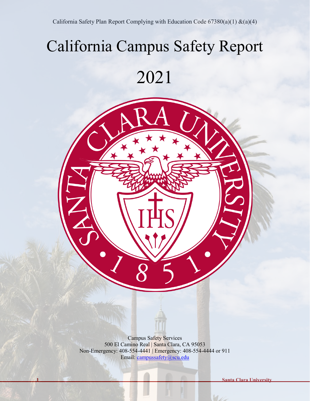# California Campus Safety Report

# 2021



**1 Santa Clara University**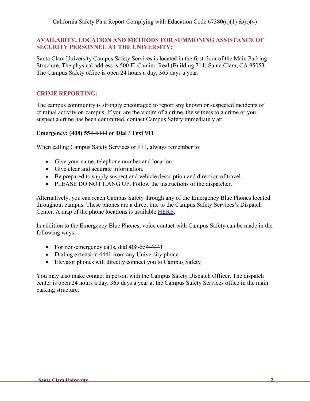California Safety Plan Report Complying with Education Code  $67380(a)(1) \&(a)(4)$ 

#### **AVAILABITY, LOCATION AND METHODS FOR SUMMONING ASSISTANCE OF SECURITY PERSONNEL AT THE UNIVERSITY:**

Santa Clara University Campus Safety Services is located in the first floor of the Main Parking Structure. The physical address is 500 El Camino Real (Building 714) Santa Clara, CA 95053. The Campus Safety office is open 24 hours a day, 365 days a year.

#### **CRIME REPORTING:**

The campus community is strongly encouraged to report any known or suspected incidents of criminal activity on campus. If you are the victim of a crime, the witness to a crime or you suspect a crime has been committed, contact Campus Safety immediately at:

#### **Emergency: (408) 554-4444 or Dial / Text 911**

When calling Campus Safety Services or 911, always remember to:

- Give your name, telephone number and location.
- Give clear and accurate information.
- Be prepared to supply suspect and vehicle description and direction of travel.
- PLEASE DO NOT HANG UP. Follow the instructions of the dispatcher.

Alternatively, you can reach Campus Safety through any of the Emergency Blue Phones located throughout campus. These phones are a direct line to the Campus Safety Services's Dispatch Center. A map of the phone locations is available [HERE.](https://www.scu.edu/media/offices/risk-management/Updated-BP-Map-2021.pdf)

In addition to the Emergency Blue Phones, voice contact with Campus Safety can be made in the following ways:

- For non-emergency calls, dial 408-554-4441
- Dialing extension 4441 from any University phone
- Elevator phones will directly connect you to Campus Safety

You may also make contact in person with the Campus Safety Dispatch Officer. The dispatch center is open 24 hours a day, 365 days a year at the Campus Safety Services office in the main parking structure.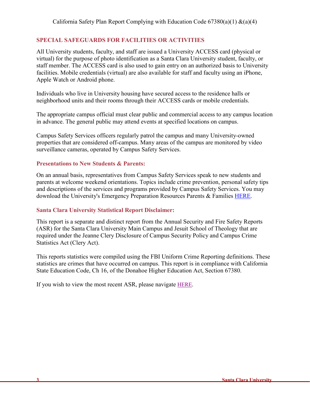### **SPECIAL SAFEGUARDS FOR FACILITIES OR ACTIVITIES**

All University students, faculty, and staff are issued a University ACCESS card (physical or virtual) for the purpose of photo identification as a Santa Clara University student, faculty, or staff member. The ACCESS card is also used to gain entry on an authorized basis to University facilities. Mobile credentials (virtual) are also available for staff and faculty using an iPhone, Apple Watch or Android phone.

Individuals who live in University housing have secured access to the residence halls or neighborhood units and their rooms through their ACCESS cards or mobile credentials.

The appropriate campus official must clear public and commercial access to any campus location in advance. The general public may attend events at specified locations on campus.

Campus Safety Services officers regularly patrol the campus and many University-owned properties that are considered off-campus. Many areas of the campus are monitored by video surveillance cameras, operated by Campus Safety Services.

#### **Presentations to New Students & Parents:**

On an annual basis, representatives from Campus Safety Services speak to new students and parents at welcome weekend orientations. Topics include crime prevention, personal safety tips and descriptions of the services and programs provided by Campus Safety Services. You may download the University's Emergency Preparation Resources Parents & Families [HERE.](https://www.scu.edu/media/offices/risk-management/SCU-Emergency-Preparation.pdf)

#### **Santa Clara University Statistical Report Disclaimer:**

This report is a separate and distinct report from the Annual Security and Fire Safety Reports (ASR) for the Santa Clara University Main Campus and Jesuit School of Theology that are required under the Jeanne Clery Disclosure of Campus Security Policy and Campus Crime Statistics Act (Clery Act).

This reports statistics were compiled using the FBI Uniform Crime Reporting definitions. These statistics are crimes that have occurred on campus. This report is in compliance with California State Education Code, Ch 16, of the Donahoe Higher Education Act, Section 67380.

If you wish to view the most recent ASR, please navigate [HERE.](https://www.scu.edu/campus-safety/clery-act-compliance/)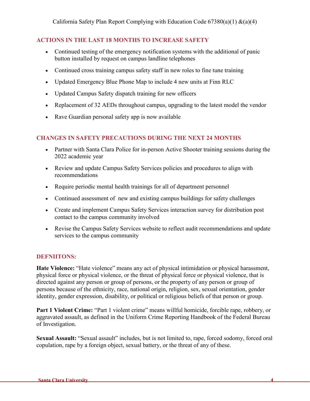California Safety Plan Report Complying with Education Code  $67380(a)(1) \&(a)(4)$ 

## **ACTIONS IN THE LAST 18 MONTHS TO INCREASE SAFETY**

- Continued testing of the emergency notification systems with the additional of panic button installed by request on campus landline telephones
- Continued cross training campus safety staff in new roles to fine tune training
- Updated Emergency Blue Phone Map to include 4 new units at Finn RLC
- Updated Campus Safety dispatch training for new officers
- Replacement of 32 AEDs throughout campus, upgrading to the latest model the vendor
- Rave Guardian personal safety app is now available

## **CHANGES IN SAFETY PRECAUTIONS DURING THE NEXT 24 MONTHS**

- Partner with Santa Clara Police for in-person Active Shooter training sessions during the 2022 academic year
- Review and update Campus Safety Services policies and procedures to align with recommendations
- Require periodic mental health trainings for all of department personnel
- Continued assessment of new and existing campus buildings for safety challenges
- Create and implement Campus Safety Services interaction survey for distribution post contact to the campus community involved
- Revise the Campus Safety Services website to reflect audit recommendations and update services to the campus community

#### **DEFNIITONS:**

**Hate Violence:** "Hate violence" means any act of physical intimidation or physical harassment, physical force or physical violence, or the threat of physical force or physical violence, that is directed against any person or group of persons, or the property of any person or group of persons because of the ethnicity, race, national origin, religion, sex, sexual orientation, gender identity, gender expression, disability, or political or religious beliefs of that person or group.

**Part 1 Violent Crime:** "Part 1 violent crime" means willful homicide, forcible rape, robbery, or aggravated assault, as defined in the Uniform Crime Reporting Handbook of the Federal Bureau of Investigation.

**Sexual Assault:** "Sexual assault" includes, but is not limited to, rape, forced sodomy, forced oral copulation, rape by a foreign object, sexual battery, or the threat of any of these.